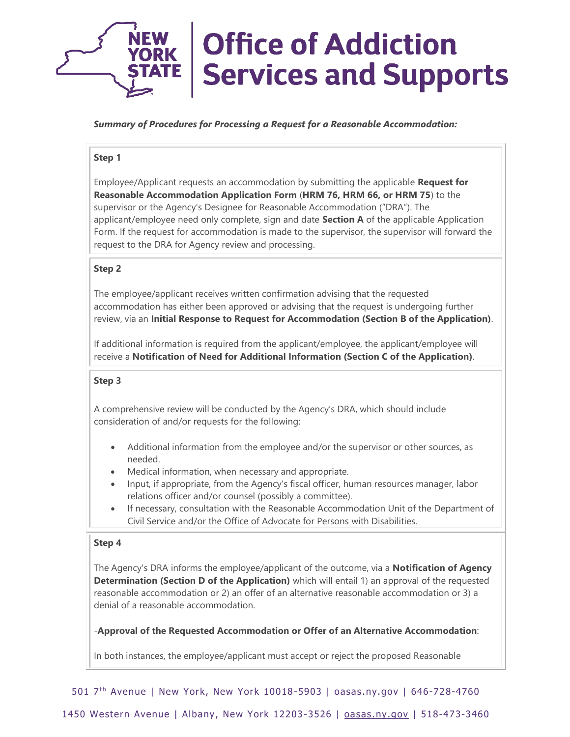

# *Summary of Procedures for Processing a Request for a Reasonable Accommodation:*

# **Step 1**

Employee/Applicant requests an accommodation by submitting the applicable **Request for Reasonable Accommodation Application Form** (**HRM 76, HRM 66, or HRM 75**) to the supervisor or the Agency's Designee for Reasonable Accommodation ("DRA"). The applicant/employee need only complete, sign and date **Section A** of the applicable Application Form. If the request for accommodation is made to the supervisor, the supervisor will forward the request to the DRA for Agency review and processing.

# **Step 2**

The employee/applicant receives written confirmation advising that the requested accommodation has either been approved or advising that the request is undergoing further review, via an **Initial Response to Request for Accommodation (Section B of the Application)**.

If additional information is required from the applicant/employee, the applicant/employee will receive a **Notification of Need for Additional Information (Section C of the Application)**.

# **Step 3**

A comprehensive review will be conducted by the Agency's DRA, which should include consideration of and/or requests for the following:

- Additional information from the employee and/or the supervisor or other sources, as needed.
- Medical information, when necessary and appropriate.
- Input, if appropriate, from the Agency's fiscal officer, human resources manager, labor relations officer and/or counsel (possibly a committee).
- If necessary, consultation with the Reasonable Accommodation Unit of the Department of Civil Service and/or the Office of Advocate for Persons with Disabilities.

# **Step 4**

The Agency's DRA informs the employee/applicant of the outcome, via a **Notification of Agency Determination (Section D of the Application)** which will entail 1) an approval of the requested reasonable accommodation or 2) an offer of an alternative reasonable accommodation or 3) a denial of a reasonable accommodation.

-**Approval of the Requested Accommodation or Offer of an Alternative Accommodation**:

In both instances, the employee/applicant must accept or reject the proposed Reasonable

501 7<sup>th</sup> Avenue | New York, New York 10018-5903 | [oasas.ny.gov](http://www.oasas.ny.gov/) | 646-728-4760

1450 Western Avenue | Albany, New York 12203 -3526 | [oasas.ny.gov](http://www.oasas.ny.gov/) | 518-473-3460